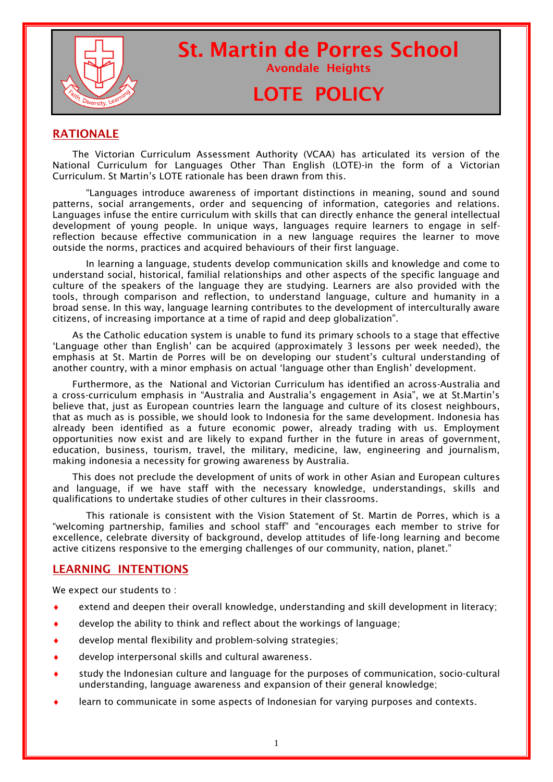

# St. Martin de Porres School

## Avondale Heights

# LOTE POLICY

#### RATIONALE

The Victorian Curriculum Assessment Authority (VCAA) has articulated its version of the National Curriculum for Languages Other Than English (LOTE)-in the form of a Victorian Curriculum. St Martin's LOTE rationale has been drawn from this.

"Languages introduce awareness of important distinctions in meaning, sound and sound patterns, social arrangements, order and sequencing of information, categories and relations. Languages infuse the entire curriculum with skills that can directly enhance the general intellectual development of young people. In unique ways, languages require learners to engage in selfreflection because effective communication in a new language requires the learner to move outside the norms, practices and acquired behaviours of their first language.

In learning a language, students develop communication skills and knowledge and come to understand social, historical, familial relationships and other aspects of the specific language and culture of the speakers of the language they are studying. Learners are also provided with the tools, through comparison and reflection, to understand language, culture and humanity in a broad sense. In this way, language learning contributes to the development of interculturally aware citizens, of increasing importance at a time of rapid and deep globalization".

As the Catholic education system is unable to fund its primary schools to a stage that effective 'Language other than English' can be acquired (approximately 3 lessons per week needed), the emphasis at St. Martin de Porres will be on developing our student's cultural understanding of another country, with a minor emphasis on actual 'language other than English' development.

Furthermore, as the National and Victorian Curriculum has identified an across-Australia and a cross-curriculum emphasis in "Australia and Australia's engagement in Asia", we at St.Martin's believe that, just as European countries learn the language and culture of its closest neighbours, that as much as is possible, we should look to Indonesia for the same development. Indonesia has already been identified as a future economic power, already trading with us. Employment opportunities now exist and are likely to expand further in the future in areas of government, education, business, tourism, travel, the military, medicine, law, engineering and journalism, making indonesia a necessity for growing awareness by Australia.

This does not preclude the development of units of work in other Asian and European cultures and language, if we have staff with the necessary knowledge, understandings, skills and qualifications to undertake studies of other cultures in their classrooms.

This rationale is consistent with the Vision Statement of St. Martin de Porres, which is a "welcoming partnership, families and school staff" and "encourages each member to strive for excellence, celebrate diversity of background, develop attitudes of life-long learning and become active citizens responsive to the emerging challenges of our community, nation, planet."

#### LEARNING INTENTIONS

We expect our students to :

- extend and deepen their overall knowledge, understanding and skill development in literacy;
- develop the ability to think and reflect about the workings of language;
- develop mental flexibility and problem-solving strategies;
- develop interpersonal skills and cultural awareness.
- study the Indonesian culture and language for the purposes of communication, socio-cultural understanding, language awareness and expansion of their general knowledge;
- learn to communicate in some aspects of Indonesian for varying purposes and contexts.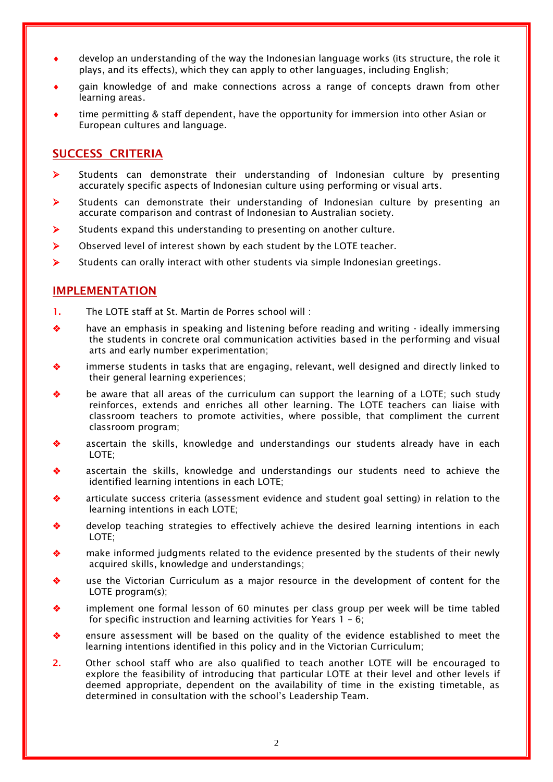- develop an understanding of the way the Indonesian language works (its structure, the role it plays, and its effects), which they can apply to other languages, including English;
- gain knowledge of and make connections across a range of concepts drawn from other learning areas.
- time permitting & staff dependent, have the opportunity for immersion into other Asian or European cultures and language.

#### SUCCESS CRITERIA

- $\triangleright$  Students can demonstrate their understanding of Indonesian culture by presenting accurately specific aspects of Indonesian culture using performing or visual arts.
- $\triangleright$  Students can demonstrate their understanding of Indonesian culture by presenting an accurate comparison and contrast of Indonesian to Australian society.
- $\triangleright$  Students expand this understanding to presenting on another culture.
- $\triangleright$  Observed level of interest shown by each student by the LOTE teacher.
- $\triangleright$  Students can orally interact with other students via simple Indonesian greetings.

#### IMPLEMENTATION

- 1. The LOTE staff at St. Martin de Porres school will :
- have an emphasis in speaking and listening before reading and writing ideally immersing the students in concrete oral communication activities based in the performing and visual arts and early number experimentation;
- immerse students in tasks that are engaging, relevant, well designed and directly linked to their general learning experiences;
- be aware that all areas of the curriculum can support the learning of a LOTE; such study reinforces, extends and enriches all other learning. The LOTE teachers can liaise with classroom teachers to promote activities, where possible, that compliment the current classroom program;
- ascertain the skills, knowledge and understandings our students already have in each LOTE;
- ascertain the skills, knowledge and understandings our students need to achieve the identified learning intentions in each LOTE;
- articulate success criteria (assessment evidence and student goal setting) in relation to the learning intentions in each LOTE;
- develop teaching strategies to effectively achieve the desired learning intentions in each LOTE;
- make informed judgments related to the evidence presented by the students of their newly acquired skills, knowledge and understandings;
- use the Victorian Curriculum as a major resource in the development of content for the LOTE program(s):
- implement one formal lesson of 60 minutes per class group per week will be time tabled for specific instruction and learning activities for Years 1 – 6;
- ensure assessment will be based on the quality of the evidence established to meet the learning intentions identified in this policy and in the Victorian Curriculum;
- 2. Other school staff who are also qualified to teach another LOTE will be encouraged to explore the feasibility of introducing that particular LOTE at their level and other levels if deemed appropriate, dependent on the availability of time in the existing timetable, as determined in consultation with the school's Leadership Team.